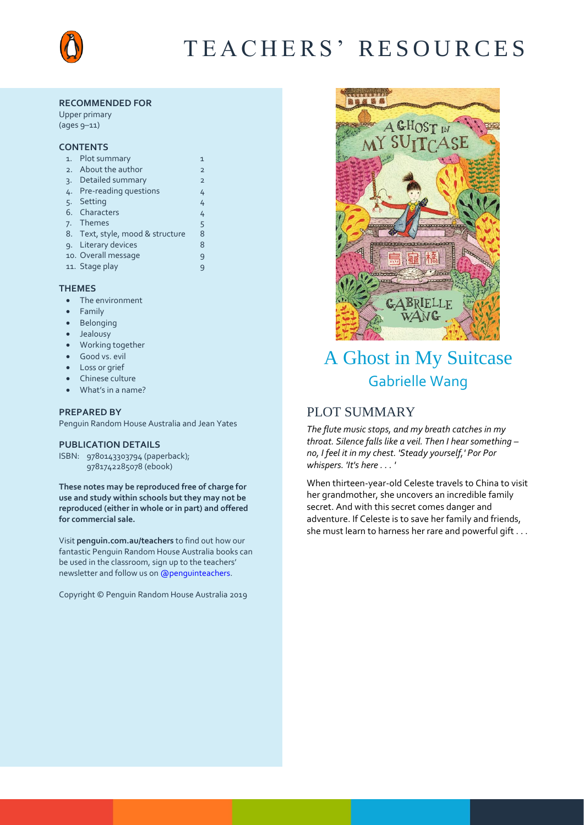

# T E A C H E R S ' R E S O U R C E S

#### **RECOMMENDED FOR**

Upper primary (ages 9–11)

#### **CONTENTS**

| 1.              | Plot summary                     | $\mathbf{1}$   |
|-----------------|----------------------------------|----------------|
| 2.              | About the author                 | $\overline{2}$ |
| $\mathcal{R}$ . | Detailed summary                 | $\overline{2}$ |
| 4.              | <b>Pre-reading questions</b>     | 4              |
| 5.              | Setting                          | 4              |
|                 | 6. Characters                    | 4              |
|                 | 7. Themes                        | 5              |
|                 | 8. Text, style, mood & structure | 8              |
|                 | 9. Literary devices              | 8              |
|                 | 10. Overall message              | 9              |
|                 | 11. Stage play                   | 9              |
|                 |                                  |                |

#### **THEMES**

- The environment
- Family
- Belonging
- Jealousy
- Working together
- Good vs. evil
- Loss or grief
- Chinese culture
- What's in a name?

#### **PREPARED BY**

Penguin Random House Australia and Jean Yates

#### **PUBLICATION DETAILS**

ISBN: 9780143303794 (paperback); 9781742285078 (ebook)

**These notes may be reproduced free of charge for use and study within schools but they may not be reproduced (either in whole or in part) and offered for commercial sale.**

Visit **[penguin.com.au/teachers](http://www.penguin.com.au/teachers)** to find out how our fantastic Penguin Random House Australia books can be used in the classroom, sign up to the teachers' newsletter and follow us o[n @penguinteachers.](http://twitter.com/penguinteachers)

Copyright © Penguin Random House Australia 2019



# A Ghost in My Suitcase Gabrielle Wang

## PLOT SUMMARY

*The flute music stops, and my breath catches in my throat. Silence falls like a veil. Then I hear something – no, I feel it in my chest. 'Steady yourself,' Por Por whispers. 'It's here . . . '*

When thirteen-year-old Celeste travels to China to visit her grandmother, she uncovers an incredible family secret. And with this secret comes danger and adventure. If Celeste is to save her family and friends, she must learn to harness her rare and powerful gift . . .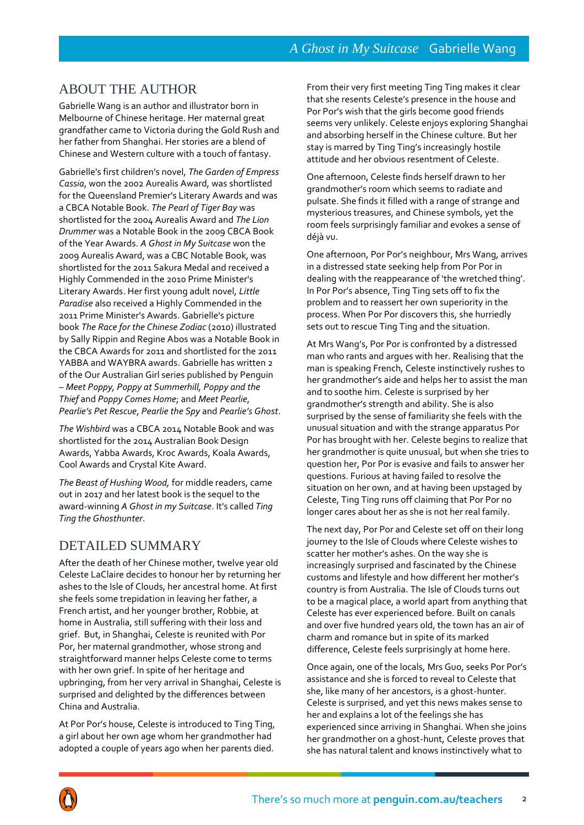## ABOUT THE AUTHOR

Gabrielle Wang is an author and illustrator born in Melbourne of Chinese heritage. Her maternal great grandfather came to Victoria during the Gold Rush and her father from Shanghai. Her stories are a blend of Chinese and Western culture with a touch of fantasy.

Gabrielle's first children's novel, *The Garden of Empress Cassia*, won the 2002 Aurealis Award, was shortlisted for the Queensland Premier's Literary Awards and was a CBCA Notable Book. *The Pearl of Tiger Bay* was shortlisted for the 2004 Aurealis Award and *The Lion Drummer* was a Notable Book in the 2009 CBCA Book of the Year Awards. *A Ghost in My Suitcase* won the 2009 Aurealis Award, was a CBC Notable Book, was shortlisted for the 2011 Sakura Medal and received a Highly Commended in the 2010 Prime Minister's Literary Awards. Her first young adult novel, *Little Paradise* also received a Highly Commended in the 2011 Prime Minister's Awards. Gabrielle's picture book *The Race for the Chinese Zodiac* (2010) illustrated by Sally Rippin and Regine Abos was a Notable Book in the CBCA Awards for 2011 and shortlisted for the 2011 YABBA and WAYBRA awards. Gabrielle has written 2 of the Our Australian Girl series published by Penguin – *Meet Poppy, Poppy at Summerhill, Poppy and the Thief* and *Poppy Comes Home*; and *Meet Pearlie*, *Pearlie's Pet Rescue*, *Pearlie the Spy* and *Pearlie's Ghost*.

*The Wishbird* was a CBCA 2014 Notable Book and was shortlisted for the 2014 Australian Book Design Awards, Yabba Awards, Kroc Awards, Koala Awards, Cool Awards and Crystal Kite Award.

*The Beast of Hushing Wood,* for middle readers, came out in 2017 and her latest book is the sequel to the award-winning *A Ghost in my Suitcase*. It's called *Ting Ting the Ghosthunter*.

## DETAILED SUMMARY

After the death of her Chinese mother, twelve year old Celeste LaClaire decides to honour her by returning her ashes to the Isle of Clouds, her ancestral home. At first she feels some trepidation in leaving her father, a French artist, and her younger brother, Robbie, at home in Australia, still suffering with their loss and grief. But, in Shanghai, Celeste is reunited with Por Por, her maternal grandmother, whose strong and straightforward manner helps Celeste come to terms with her own grief. In spite of her heritage and upbringing, from her very arrival in Shanghai, Celeste is surprised and delighted by the differences between China and Australia.

At Por Por's house, Celeste is introduced to Ting Ting, a girl about her own age whom her grandmother had adopted a couple of years ago when her parents died.

From their very first meeting Ting Ting makes it clear that she resents Celeste's presence in the house and Por Por's wish that the girls become good friends seems very unlikely. Celeste enjoys exploring Shanghai and absorbing herself in the Chinese culture. But her stay is marred by Ting Ting's increasingly hostile attitude and her obvious resentment of Celeste.

One afternoon, Celeste finds herself drawn to her grandmother's room which seems to radiate and pulsate. She finds it filled with a range of strange and mysterious treasures, and Chinese symbols, yet the room feels surprisingly familiar and evokes a sense of déjà vu.

One afternoon, Por Por's neighbour, Mrs Wang, arrives in a distressed state seeking help from Por Por in dealing with the reappearance of 'the wretched thing'. In Por Por's absence, Ting Ting sets off to fix the problem and to reassert her own superiority in the process. When Por Por discovers this, she hurriedly sets out to rescue Ting Ting and the situation.

At Mrs Wang's, Por Por is confronted by a distressed man who rants and argues with her. Realising that the man is speaking French, Celeste instinctively rushes to her grandmother's aide and helps her to assist the man and to soothe him. Celeste is surprised by her grandmother's strength and ability. She is also surprised by the sense of familiarity she feels with the unusual situation and with the strange apparatus Por Por has brought with her. Celeste begins to realize that her grandmother is quite unusual, but when she tries to question her, Por Por is evasive and fails to answer her questions. Furious at having failed to resolve the situation on her own, and at having been upstaged by Celeste, Ting Ting runs off claiming that Por Por no longer cares about her as she is not her real family.

The next day, Por Por and Celeste set off on their long journey to the Isle of Clouds where Celeste wishes to scatter her mother's ashes. On the way she is increasingly surprised and fascinated by the Chinese customs and lifestyle and how different her mother's country is from Australia. The Isle of Clouds turns out to be a magical place, a world apart from anything that Celeste has ever experienced before. Built on canals and over five hundred years old, the town has an air of charm and romance but in spite of its marked difference, Celeste feels surprisingly at home here.

Once again, one of the locals, Mrs Guo, seeks Por Por's assistance and she is forced to reveal to Celeste that she, like many of her ancestors, is a ghost-hunter. Celeste is surprised, and yet this news makes sense to her and explains a lot of the feelings she has experienced since arriving in Shanghai. When she joins her grandmother on a ghost-hunt, Celeste proves that she has natural talent and knows instinctively what to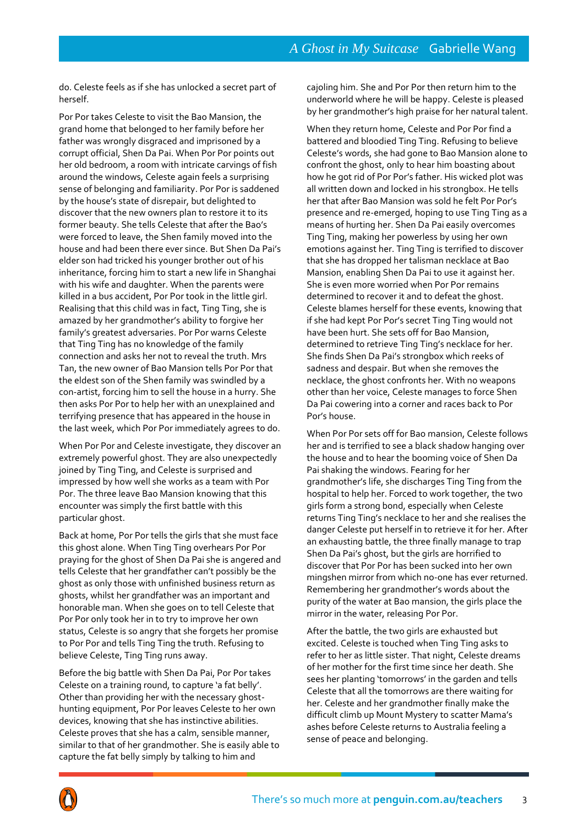do. Celeste feels as if she has unlocked a secret part of herself.

Por Por takes Celeste to visit the Bao Mansion, the grand home that belonged to her family before her father was wrongly disgraced and imprisoned by a corrupt official, Shen Da Pai. When Por Por points out her old bedroom, a room with intricate carvings of fish around the windows, Celeste again feels a surprising sense of belonging and familiarity. Por Por is saddened by the house's state of disrepair, but delighted to discover that the new owners plan to restore it to its former beauty. She tells Celeste that after the Bao's were forced to leave, the Shen family moved into the house and had been there ever since. But Shen Da Pai's elder son had tricked his younger brother out of his inheritance, forcing him to start a new life in Shanghai with his wife and daughter. When the parents were killed in a bus accident, Por Por took in the little girl. Realising that this child was in fact, Ting Ting, she is amazed by her grandmother's ability to forgive her family's greatest adversaries. Por Por warns Celeste that Ting Ting has no knowledge of the family connection and asks her not to reveal the truth. Mrs Tan, the new owner of Bao Mansion tells Por Por that the eldest son of the Shen family was swindled by a con-artist, forcing him to sell the house in a hurry. She then asks Por Por to help her with an unexplained and terrifying presence that has appeared in the house in the last week, which Por Por immediately agrees to do.

When Por Por and Celeste investigate, they discover an extremely powerful ghost. They are also unexpectedly joined by Ting Ting, and Celeste is surprised and impressed by how well she works as a team with Por Por. The three leave Bao Mansion knowing that this encounter was simply the first battle with this particular ghost.

Back at home, Por Por tells the girls that she must face this ghost alone. When Ting Ting overhears Por Por praying for the ghost of Shen Da Pai she is angered and tells Celeste that her grandfather can't possibly be the ghost as only those with unfinished business return as ghosts, whilst her grandfather was an important and honorable man. When she goes on to tell Celeste that Por Por only took her in to try to improve her own status, Celeste is so angry that she forgets her promise to Por Por and tells Ting Ting the truth. Refusing to believe Celeste, Ting Ting runs away.

Before the big battle with Shen Da Pai, Por Por takes Celeste on a training round, to capture 'a fat belly'. Other than providing her with the necessary ghosthunting equipment, Por Por leaves Celeste to her own devices, knowing that she has instinctive abilities. Celeste proves that she has a calm, sensible manner, similar to that of her grandmother. She is easily able to capture the fat belly simply by talking to him and

cajoling him. She and Por Por then return him to the underworld where he will be happy. Celeste is pleased by her grandmother's high praise for her natural talent.

When they return home, Celeste and Por Por find a battered and bloodied Ting Ting. Refusing to believe Celeste's words, she had gone to Bao Mansion alone to confront the ghost, only to hear him boasting about how he got rid of Por Por's father. His wicked plot was all written down and locked in his strongbox. He tells her that after Bao Mansion was sold he felt Por Por's presence and re-emerged, hoping to use Ting Ting as a means of hurting her. Shen Da Pai easily overcomes Ting Ting, making her powerless by using her own emotions against her. Ting Ting is terrified to discover that she has dropped her talisman necklace at Bao Mansion, enabling Shen Da Pai to use it against her. She is even more worried when Por Por remains determined to recover it and to defeat the ghost. Celeste blames herself for these events, knowing that if she had kept Por Por's secret Ting Ting would not have been hurt. She sets off for Bao Mansion, determined to retrieve Ting Ting's necklace for her. She finds Shen Da Pai's strongbox which reeks of sadness and despair. But when she removes the necklace, the ghost confronts her. With no weapons other than her voice, Celeste manages to force Shen Da Pai cowering into a corner and races back to Por Por's house.

When Por Por sets off for Bao mansion, Celeste follows her and is terrified to see a black shadow hanging over the house and to hear the booming voice of Shen Da Pai shaking the windows. Fearing for her grandmother's life, she discharges Ting Ting from the hospital to help her. Forced to work together, the two girls form a strong bond, especially when Celeste returns Ting Ting's necklace to her and she realises the danger Celeste put herself in to retrieve it for her. After an exhausting battle, the three finally manage to trap Shen Da Pai's ghost, but the girls are horrified to discover that Por Por has been sucked into her own mingshen mirror from which no-one has ever returned. Remembering her grandmother's words about the purity of the water at Bao mansion, the girls place the mirror in the water, releasing Por Por.

After the battle, the two girls are exhausted but excited. Celeste is touched when Ting Ting asks to refer to her as little sister. That night, Celeste dreams of her mother for the first time since her death. She sees her planting 'tomorrows' in the garden and tells Celeste that all the tomorrows are there waiting for her. Celeste and her grandmother finally make the difficult climb up Mount Mystery to scatter Mama's ashes before Celeste returns to Australia feeling a sense of peace and belonging.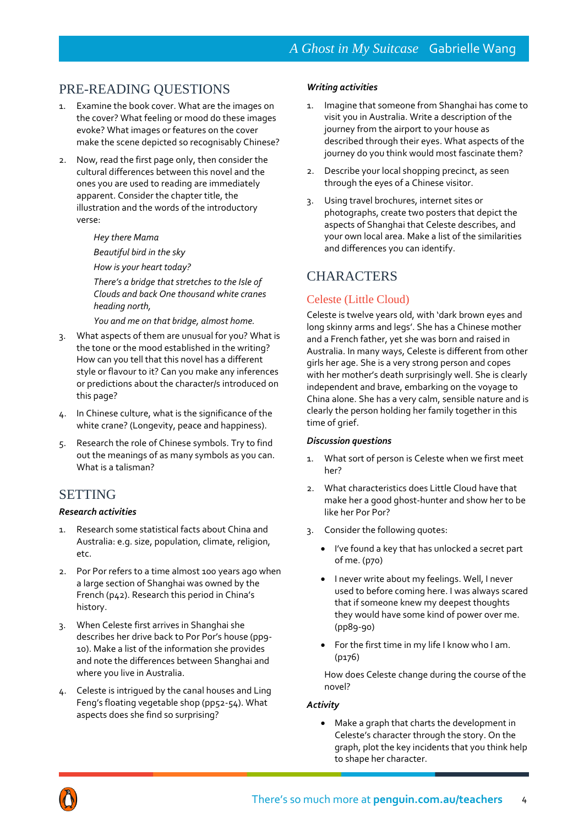## PRE-READING QUESTIONS

- 1. Examine the book cover. What are the images on the cover? What feeling or mood do these images evoke? What images or features on the cover make the scene depicted so recognisably Chinese?
- 2. Now, read the first page only, then consider the cultural differences between this novel and the ones you are used to reading are immediately apparent. Consider the chapter title, the illustration and the words of the introductory verse:

#### *Hey there Mama*

*Beautiful bird in the sky* 

*How is your heart today?* 

*There's a bridge that stretches to the Isle of Clouds and back One thousand white cranes heading north,* 

*You and me on that bridge, almost home.* 

- 3. What aspects of them are unusual for you? What is the tone or the mood established in the writing? How can you tell that this novel has a different style or flavour to it? Can you make any inferences or predictions about the character/s introduced on this page?
- 4. In Chinese culture, what is the significance of the white crane? (Longevity, peace and happiness).
- 5. Research the role of Chinese symbols. Try to find out the meanings of as many symbols as you can. What is a talisman?

## SETTING

#### *Research activities*

- 1. Research some statistical facts about China and Australia: e.g. size, population, climate, religion, etc.
- 2. Por Por refers to a time almost 100 years ago when a large section of Shanghai was owned by the French (p42). Research this period in China's history.
- 3. When Celeste first arrives in Shanghai she describes her drive back to Por Por's house (pp9- 10). Make a list of the information she provides and note the differences between Shanghai and where you live in Australia.
- 4. Celeste is intrigued by the canal houses and Ling Feng's floating vegetable shop (pp52-54). What aspects does she find so surprising?

#### *Writing activities*

- 1. Imagine that someone from Shanghai has come to visit you in Australia. Write a description of the journey from the airport to your house as described through their eyes. What aspects of the journey do you think would most fascinate them?
- 2. Describe your local shopping precinct, as seen through the eyes of a Chinese visitor.
- 3. Using travel brochures, internet sites or photographs, create two posters that depict the aspects of Shanghai that Celeste describes, and your own local area. Make a list of the similarities and differences you can identify.

## **CHARACTERS**

## Celeste (Little Cloud)

Celeste is twelve years old, with 'dark brown eyes and long skinny arms and legs'. She has a Chinese mother and a French father, yet she was born and raised in Australia. In many ways, Celeste is different from other girls her age. She is a very strong person and copes with her mother's death surprisingly well. She is clearly independent and brave, embarking on the voyage to China alone. She has a very calm, sensible nature and is clearly the person holding her family together in this time of grief.

#### *Discussion questions*

- 1. What sort of person is Celeste when we first meet her?
- 2. What characteristics does Little Cloud have that make her a good ghost-hunter and show her to be like her Por Por?
- 3. Consider the following quotes:
	- I've found a key that has unlocked a secret part of me. (p70)
	- I never write about my feelings. Well, I never used to before coming here. I was always scared that if someone knew my deepest thoughts they would have some kind of power over me. (pp89-90)
	- For the first time in my life I know who I am. (p176)

How does Celeste change during the course of the novel?

#### *Activity*

 Make a graph that charts the development in Celeste's character through the story. On the graph, plot the key incidents that you think help to shape her character.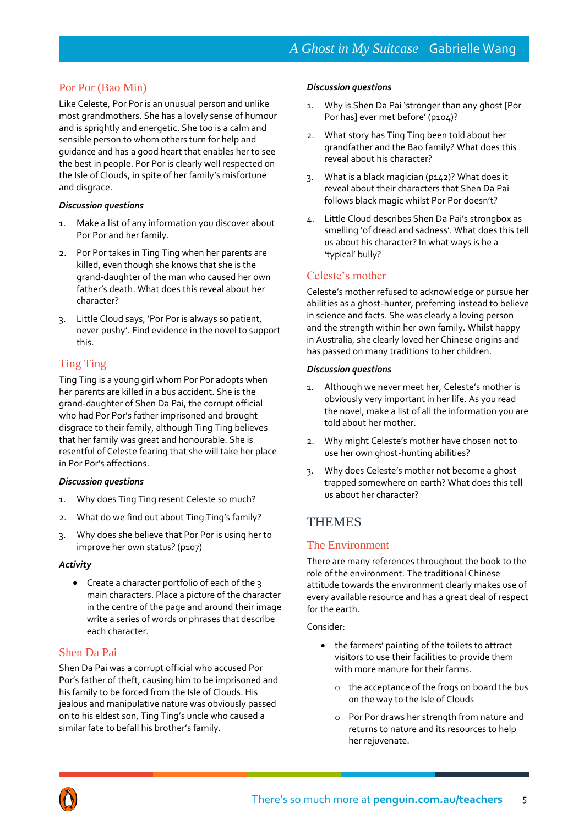## Por Por (Bao Min)

Like Celeste, Por Por is an unusual person and unlike most grandmothers. She has a lovely sense of humour and is sprightly and energetic. She too is a calm and sensible person to whom others turn for help and guidance and has a good heart that enables her to see the best in people. Por Por is clearly well respected on the Isle of Clouds, in spite of her family's misfortune and disgrace.

#### *Discussion questions*

- 1. Make a list of any information you discover about Por Por and her family.
- 2. Por Por takes in Ting Ting when her parents are killed, even though she knows that she is the grand-daughter of the man who caused her own father's death. What does this reveal about her character?
- 3. Little Cloud says, 'Por Por is always so patient, never pushy'. Find evidence in the novel to support this.

## Ting Ting

Ting Ting is a young girl whom Por Por adopts when her parents are killed in a bus accident. She is the grand-daughter of Shen Da Pai, the corrupt official who had Por Por's father imprisoned and brought disgrace to their family, although Ting Ting believes that her family was great and honourable. She is resentful of Celeste fearing that she will take her place in Por Por's affections.

#### *Discussion questions*

- 1. Why does Ting Ting resent Celeste so much?
- 2. What do we find out about Ting Ting's family?
- 3. Why does she believe that Por Por is using her to improve her own status? (p107)

#### *Activity*

• Create a character portfolio of each of the 3 main characters. Place a picture of the character in the centre of the page and around their image write a series of words or phrases that describe each character.

### Shen Da Pai

Shen Da Pai was a corrupt official who accused Por Por's father of theft, causing him to be imprisoned and his family to be forced from the Isle of Clouds. His jealous and manipulative nature was obviously passed on to his eldest son, Ting Ting's uncle who caused a similar fate to befall his brother's family.

#### *Discussion questions*

- 1. Why is Shen Da Pai 'stronger than any ghost [Por Por has] ever met before' (p104)?
- 2. What story has Ting Ting been told about her grandfather and the Bao family? What does this reveal about his character?
- 3. What is a black magician (p142)? What does it reveal about their characters that Shen Da Pai follows black magic whilst Por Por doesn't?
- 4. Little Cloud describes Shen Da Pai's strongbox as smelling 'of dread and sadness'. What does this tell us about his character? In what ways is he a 'typical' bully?

### Celeste's mother

Celeste's mother refused to acknowledge or pursue her abilities as a ghost-hunter, preferring instead to believe in science and facts. She was clearly a loving person and the strength within her own family. Whilst happy in Australia, she clearly loved her Chinese origins and has passed on many traditions to her children.

#### *Discussion questions*

- 1. Although we never meet her, Celeste's mother is obviously very important in her life. As you read the novel, make a list of all the information you are told about her mother.
- 2. Why might Celeste's mother have chosen not to use her own ghost-hunting abilities?
- 3. Why does Celeste's mother not become a ghost trapped somewhere on earth? What does this tell us about her character?

## **THEMES**

### The Environment

There are many references throughout the book to the role of the environment. The traditional Chinese attitude towards the environment clearly makes use of every available resource and has a great deal of respect for the earth.

#### Consider:

- the farmers' painting of the toilets to attract visitors to use their facilities to provide them with more manure for their farms.
	- o the acceptance of the frogs on board the bus on the way to the Isle of Clouds
	- o Por Por draws her strength from nature and returns to nature and its resources to help her rejuvenate.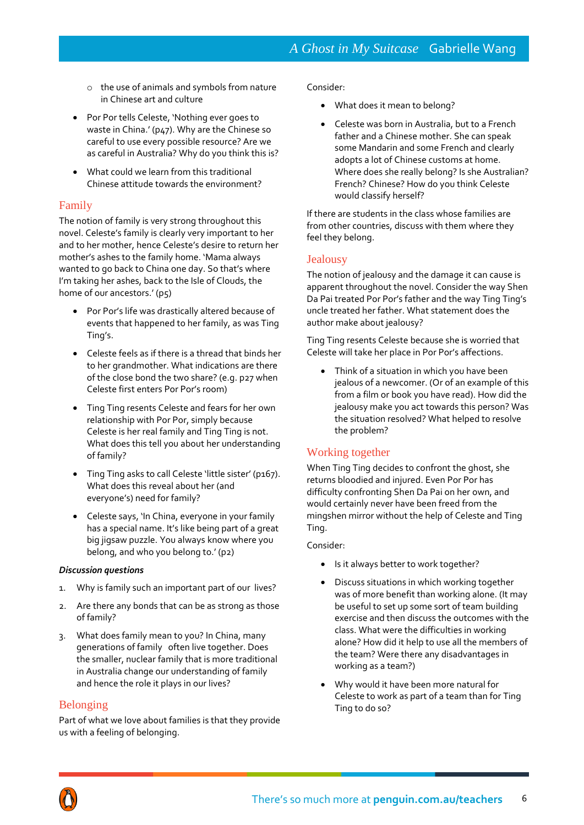- o the use of animals and symbols from nature in Chinese art and culture
- Por Por tells Celeste, 'Nothing ever goes to waste in China.' (p47). Why are the Chinese so careful to use every possible resource? Are we as careful in Australia? Why do you think this is?
- What could we learn from this traditional Chinese attitude towards the environment?

## Family

The notion of family is very strong throughout this novel. Celeste's family is clearly very important to her and to her mother, hence Celeste's desire to return her mother's ashes to the family home. 'Mama always wanted to go back to China one day. So that's where I'm taking her ashes, back to the Isle of Clouds, the home of our ancestors.' (p5)

- Por Por's life was drastically altered because of events that happened to her family, as was Ting Ting's.
- Celeste feels as if there is a thread that binds her to her grandmother. What indications are there of the close bond the two share? (e.g. p27 when Celeste first enters Por Por's room)
- Ting Ting resents Celeste and fears for her own relationship with Por Por, simply because Celeste is her real family and Ting Ting is not. What does this tell you about her understanding of family?
- Ting Ting asks to call Celeste 'little sister' (p167). What does this reveal about her (and everyone's) need for family?
- Celeste says, 'In China, everyone in your family has a special name. It's like being part of a great big jigsaw puzzle. You always know where you belong, and who you belong to.' (p2)

#### *Discussion questions*

- 1. Why is family such an important part of our lives?
- 2. Are there any bonds that can be as strong as those of family?
- 3. What does family mean to you? In China, many generations of family often live together. Does the smaller, nuclear family that is more traditional in Australia change our understanding of family and hence the role it plays in our lives?

### Belonging

Part of what we love about families is that they provide us with a feeling of belonging.

#### Consider:

- What does it mean to belong?
- Celeste was born in Australia, but to a French father and a Chinese mother. She can speak some Mandarin and some French and clearly adopts a lot of Chinese customs at home. Where does she really belong? Is she Australian? French? Chinese? How do you think Celeste would classify herself?

If there are students in the class whose families are from other countries, discuss with them where they feel they belong.

### Jealousy

The notion of jealousy and the damage it can cause is apparent throughout the novel. Consider the way Shen Da Pai treated Por Por's father and the way Ting Ting's uncle treated her father. What statement does the author make about jealousy?

Ting Ting resents Celeste because she is worried that Celeste will take her place in Por Por's affections.

• Think of a situation in which you have been jealous of a newcomer. (Or of an example of this from a film or book you have read). How did the jealousy make you act towards this person? Was the situation resolved? What helped to resolve the problem?

## Working together

When Ting Ting decides to confront the ghost, she returns bloodied and injured. Even Por Por has difficulty confronting Shen Da Pai on her own, and would certainly never have been freed from the mingshen mirror without the help of Celeste and Ting Ting.

#### Consider:

- Is it always better to work together?
- Discuss situations in which working together was of more benefit than working alone. (It may be useful to set up some sort of team building exercise and then discuss the outcomes with the class. What were the difficulties in working alone? How did it help to use all the members of the team? Were there any disadvantages in working as a team?)
- Why would it have been more natural for Celeste to work as part of a team than for Ting Ting to do so?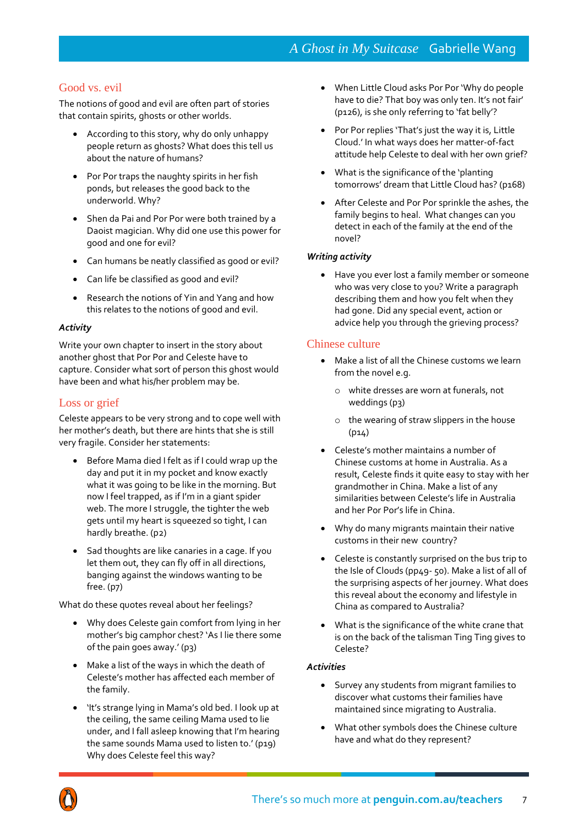## Good vs. evil

The notions of good and evil are often part of stories that contain spirits, ghosts or other worlds.

- According to this story, why do only unhappy people return as ghosts? What does this tell us about the nature of humans?
- Por Por traps the naughty spirits in her fish ponds, but releases the good back to the underworld. Why?
- Shen da Pai and Por Por were both trained by a Daoist magician. Why did one use this power for good and one for evil?
- Can humans be neatly classified as good or evil?
- Can life be classified as good and evil?
- Research the notions of Yin and Yang and how this relates to the notions of good and evil.

#### *Activity*

Write your own chapter to insert in the story about another ghost that Por Por and Celeste have to capture. Consider what sort of person this ghost would have been and what his/her problem may be.

### Loss or grief

Celeste appears to be very strong and to cope well with her mother's death, but there are hints that she is still very fragile. Consider her statements:

- Before Mama died I felt as if I could wrap up the day and put it in my pocket and know exactly what it was going to be like in the morning. But now I feel trapped, as if I'm in a giant spider web. The more I struggle, the tighter the web gets until my heart is squeezed so tight, I can hardly breathe. (p2)
- Sad thoughts are like canaries in a cage. If you let them out, they can fly off in all directions, banging against the windows wanting to be free. (p7)

What do these quotes reveal about her feelings?

- Why does Celeste gain comfort from lying in her mother's big camphor chest? 'As I lie there some of the pain goes away.' (p3)
- Make a list of the ways in which the death of Celeste's mother has affected each member of the family.
- 'It's strange lying in Mama's old bed. I look up at the ceiling, the same ceiling Mama used to lie under, and I fall asleep knowing that I'm hearing the same sounds Mama used to listen to.' (p19) Why does Celeste feel this way?
- When Little Cloud asks Por Por 'Why do people have to die? That boy was only ten. It's not fair' (p126), is she only referring to 'fat belly'?
- Por Por replies 'That's just the way it is, Little Cloud.' In what ways does her matter-of-fact attitude help Celeste to deal with her own grief?
- What is the significance of the 'planting tomorrows' dream that Little Cloud has? (p168)
- After Celeste and Por Por sprinkle the ashes, the family begins to heal. What changes can you detect in each of the family at the end of the novel?

### *Writing activity*

 Have you ever lost a family member or someone who was very close to you? Write a paragraph describing them and how you felt when they had gone. Did any special event, action or advice help you through the grieving process?

#### Chinese culture

- Make a list of all the Chinese customs we learn from the novel e.g.
	- o white dresses are worn at funerals, not weddings (p3)
	- o the wearing of straw slippers in the house (p14)
- Celeste's mother maintains a number of Chinese customs at home in Australia. As a result, Celeste finds it quite easy to stay with her grandmother in China. Make a list of any similarities between Celeste's life in Australia and her Por Por's life in China.
- Why do many migrants maintain their native customs in their new country?
- Celeste is constantly surprised on the bus trip to the Isle of Clouds (pp49- 50). Make a list of all of the surprising aspects of her journey. What does this reveal about the economy and lifestyle in China as compared to Australia?
- What is the significance of the white crane that is on the back of the talisman Ting Ting gives to Celeste?

#### *Activities*

- Survey any students from migrant families to discover what customs their families have maintained since migrating to Australia.
- What other symbols does the Chinese culture have and what do they represent?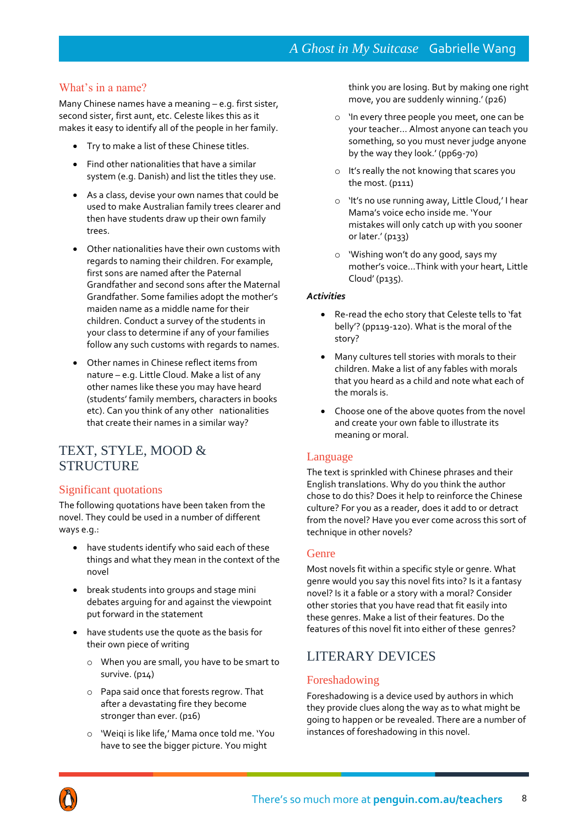### What's in a name?

Many Chinese names have a meaning – e.g. first sister, second sister, first aunt, etc. Celeste likes this as it makes it easy to identify all of the people in her family.

- Try to make a list of these Chinese titles.
- Find other nationalities that have a similar system (e.g. Danish) and list the titles they use.
- As a class, devise your own names that could be used to make Australian family trees clearer and then have students draw up their own family trees.
- Other nationalities have their own customs with regards to naming their children. For example, first sons are named after the Paternal Grandfather and second sons after the Maternal Grandfather. Some families adopt the mother's maiden name as a middle name for their children. Conduct a survey of the students in your class to determine if any of your families follow any such customs with regards to names.
- Other names in Chinese reflect items from nature – e.g. Little Cloud. Make a list of any other names like these you may have heard (students' family members, characters in books etc). Can you think of any other nationalities that create their names in a similar way?

## TEXT, STYLE, MOOD & STRUCTURE

### Significant quotations

The following quotations have been taken from the novel. They could be used in a number of different ways e.g.:

- have students identify who said each of these things and what they mean in the context of the novel
- break students into groups and stage mini debates arguing for and against the viewpoint put forward in the statement
- have students use the quote as the basis for their own piece of writing
	- o When you are small, you have to be smart to survive. (p14)
	- o Papa said once that forests regrow. That after a devastating fire they become stronger than ever. (p16)
	- o 'Weiqi is like life,' Mama once told me. 'You have to see the bigger picture. You might

think you are losing. But by making one right move, you are suddenly winning.' (p26)

- o 'In every three people you meet, one can be your teacher… Almost anyone can teach you something, so you must never judge anyone by the way they look.' (pp69-70)
- o It's really the not knowing that scares you the most. (p111)
- o 'It's no use running away, Little Cloud,' I hear Mama's voice echo inside me. 'Your mistakes will only catch up with you sooner or later.' (p133)
- o 'Wishing won't do any good, says my mother's voice…Think with your heart, Little Cloud' (p135).

#### *Activities*

- Re-read the echo story that Celeste tells to 'fat belly'? (pp119-120). What is the moral of the story?
- Many cultures tell stories with morals to their children. Make a list of any fables with morals that you heard as a child and note what each of the morals is.
- Choose one of the above quotes from the novel and create your own fable to illustrate its meaning or moral.

### Language

The text is sprinkled with Chinese phrases and their English translations. Why do you think the author chose to do this? Does it help to reinforce the Chinese culture? For you as a reader, does it add to or detract from the novel? Have you ever come across this sort of technique in other novels?

### Genre

Most novels fit within a specific style or genre. What genre would you say this novel fits into? Is it a fantasy novel? Is it a fable or a story with a moral? Consider other stories that you have read that fit easily into these genres. Make a list of their features. Do the features of this novel fit into either of these genres?

## LITERARY DEVICES

## Foreshadowing

Foreshadowing is a device used by authors in which they provide clues along the way as to what might be going to happen or be revealed. There are a number of instances of foreshadowing in this novel.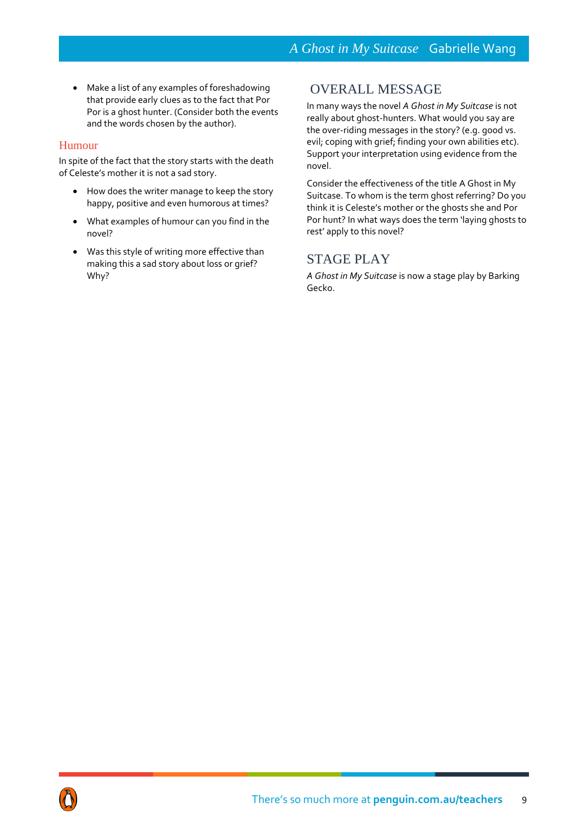Make a list of any examples of foreshadowing that provide early clues as to the fact that Por Por is a ghost hunter. (Consider both the events and the words chosen by the author).

### Humour

In spite of the fact that the story starts with the death of Celeste's mother it is not a sad story.

- How does the writer manage to keep the story happy, positive and even humorous at times?
- What examples of humour can you find in the novel?
- Was this style of writing more effective than making this a sad story about loss or grief? Why?

## OVERALL MESSAGE

In many ways the novel *A Ghost in My Suitcase* is not really about ghost-hunters. What would you say are the over-riding messages in the story? (e.g. good vs. evil; coping with grief; finding your own abilities etc). Support your interpretation using evidence from the novel.

Consider the effectiveness of the title A Ghost in My Suitcase. To whom is the term ghost referring? Do you think it is Celeste's mother or the ghosts she and Por Por hunt? In what ways does the term 'laying ghosts to rest' apply to this novel?

## STAGE PLAY

*A Ghost in My Suitcase* is now a stage play by Barking Gecko.